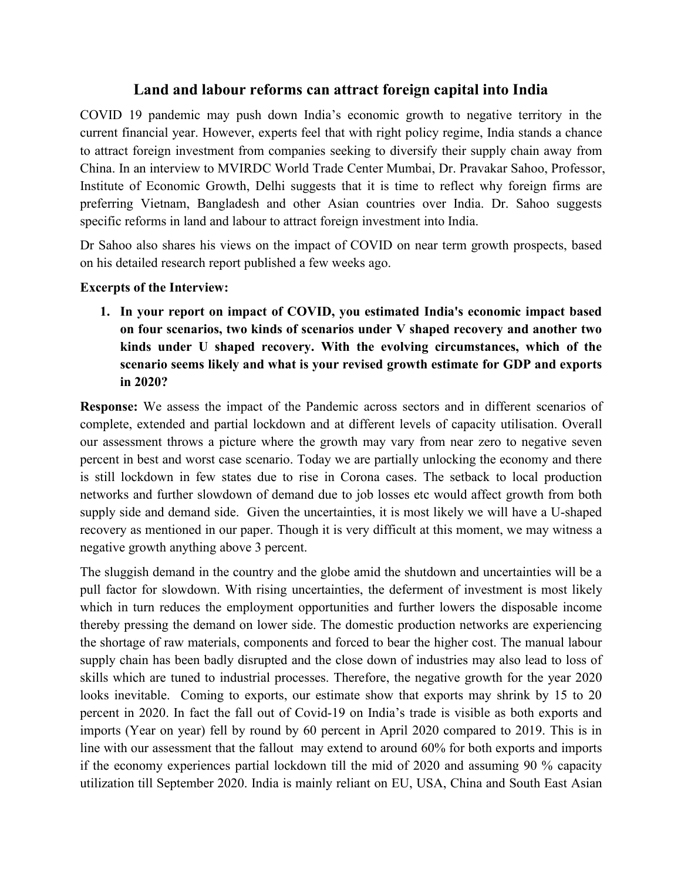## **Land and labour reforms can attract foreign capital into India**

COVID 19 pandemic may push down India's economic growth to negative territory in the current financial year. However, experts feel that with right policy regime, India stands a chance to attract foreign investment from companies seeking to diversify their supply chain away from China. In an interview to MVIRDC World Trade Center Mumbai, Dr. Pravakar Sahoo, Professor, Institute of Economic Growth, Delhi suggests that it is time to reflect why foreign firms are preferring Vietnam, Bangladesh and other Asian countries over India. Dr. Sahoo suggests specific reforms in land and labour to attract foreign investment into India.

Dr Sahoo also shares his views on the impact of COVID on near term growth prospects, based on his detailed research report published a few weeks ago.

### **Excerpts** of the Interview:

**1. In your report on impact of COVID, you estimated India's economic impact based on fourscenarios, two kinds ofscenarios under V shaped recovery and another two kinds under U shaped recovery. With the evolving circumstances, which of the scenario seems likely and what is your revised growth estimate for GDP and exports in 2020?**

**Response:** We assess the impact of the Pandemic across sectors and in different scenarios of complete, extended and partial lockdown and at different levels of capacity utilisation. Overall our assessment throws a picture where the growth may vary from near zero to negative seven percent in best and worst case scenario. Today we are partially unlocking the economy and there is still lockdown in few states due to rise in Corona cases. The setback to local production networks and further slowdown of demand due to job losses etc would affect growth from both supply side and demand side. Given the uncertainties, it is most likely we will have a U-shaped recovery as mentioned in our paper. Though it is very difficult at this moment, we may witness a negative growth anything above 3 percent.

The sluggish demand in the country and the globe amid the shutdown and uncertainties will be a pull factor for slowdown. With rising uncertainties, the deferment of investment is most likely which in turn reduces the employment opportunities and further lowers the disposable income thereby pressing the demand on lower side. The domestic production networks are experiencing the shortage of raw materials, components and forced to bear the higher cost. The manual labour supply chain has been badly disrupted and the close down of industries may also lead to loss of skills which are tuned to industrial processes. Therefore, the negative growth for the year 2020 looks inevitable. Coming to exports, our estimate show that exports may shrink by 15 to 20 percent in 2020. In fact the fall out of Covid-19 on India's trade is visible as both exports and imports (Year on year) fell by round by 60 percent in April 2020 compared to 2019. This is in line with our assessment that the fallout may extend to around 60% for both exports and imports if the economy experiences partial lockdown till the mid of 2020 and assuming 90 % capacity utilization till September 2020. India is mainly reliant on EU, USA, China and South East Asian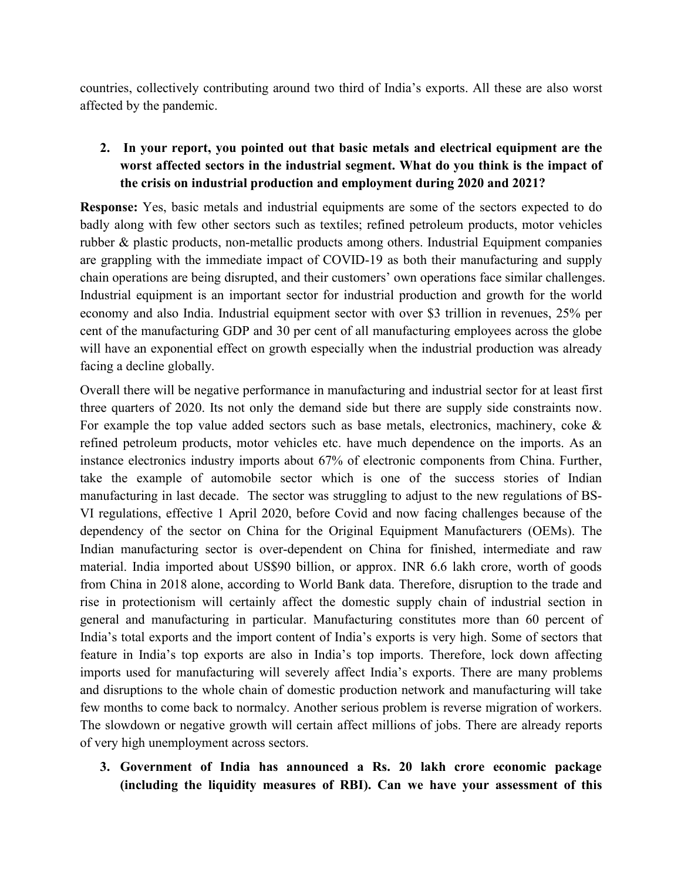countries, collectively contributing around two third of India's exports. All these are also worst affected by the pandemic.

# **2. In your report, you pointed out that basic metals and electrical equipment are the worst affected sectors in the industrial segment. What do you think is the impact of the crisis on industrial production and employment during 2020 and 2021?**

**Response:** Yes, basic metals and industrial equipments are some of the sectors expected to do badly along with few other sectors such as textiles; refined petroleum products, motor vehicles rubber & plastic products, non-metallic products among others. Industrial Equipment companies are grappling with the immediate impact of COVID-19 as both their manufacturing and supply chain operations are being disrupted, and their customers' own operations face similar challenges. Industrial equipment is an important sector for industrial production and growth for the world economy and also India. Industrial equipment sector with over \$3 trillion in revenues, 25% per cent of the manufacturing GDP and 30 per cent of all manufacturing employees across the globe will have an exponential effect on growth especially when the industrial production was already facing a decline globally.

Overall there will be negative performance in manufacturing and industrial sector for atleast first three quarters of 2020. Its not only the demand side but there are supply side constraints now. For example the top value added sectors such as base metals, electronics, machinery, coke & refined petroleum products, motor vehicles etc. have much dependence on the imports. As an instance electronics industry imports about 67% of electronic components from China. Further, take the example of automobile sector which is one of the success stories of Indian manufacturing in last decade. The sector was struggling to adjust to the new regulations of BS- VI regulations, effective 1 April 2020, before Covid and now facing challenges because of the dependency of the sector on China for the Original Equipment Manufacturers (OEMs). The Indian manufacturing sector is over-dependent on China for finished, intermediate and raw material. India imported about US\$90 billion, or approx. INR 6.6 lakh crore, worth of goods from China in 2018 alone, according to World Bank data. Therefore, disruption to the trade and rise in protectionism will certainly affect the domestic supply chain of industrial section in general and manufacturing in particular. Manufacturing constitutes more than 60 percent of India's total exports and the import content of India's exports is very high. Some of sectors that feature in India's top exports are also in India's top imports. Therefore, lock down affecting imports used for manufacturing will severely affect India's exports. There are many problems and disruptions to the whole chain of domestic production network and manufacturing will take few months to come back to normalcy. Another serious problem is reverse migration of workers. The slowdown or negative growth will certain affect millions of jobs. There are already reports of very high unemployment across sectors.

**3. Government of India hasannounced a Rs. 20 lakh crore economic package (including the liquidity measures of RBI). Can we have your assessment of this**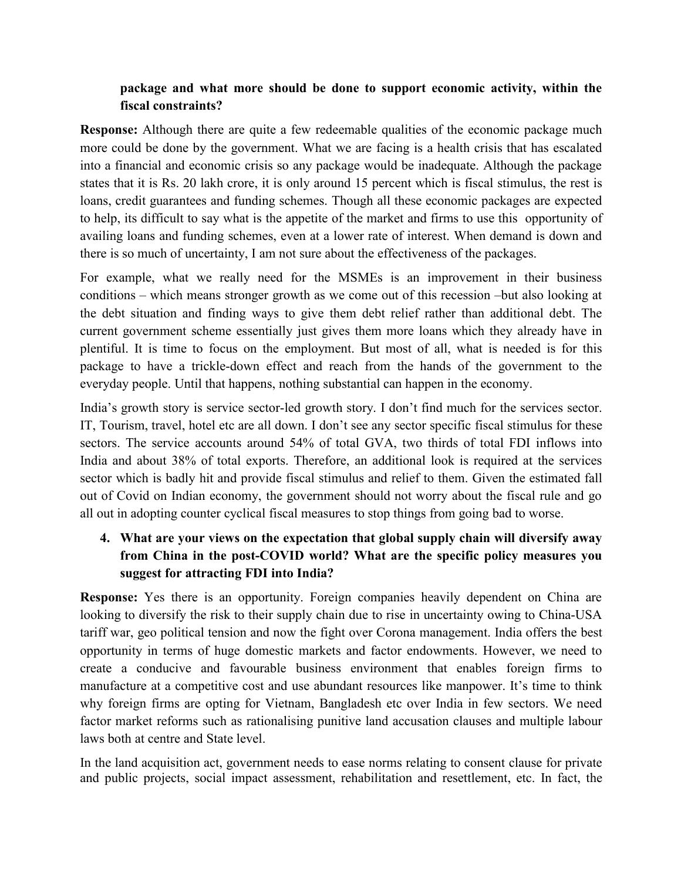### **package and what more should be done to support economic activity, within the fiscal constraints?**

**Response:** Although there are quite a few redeemable qualities of the economic package much more could be done by the government. What we are facing is a health crisis that has escalated into a financial and economic crisis so any package would be inadequate. Although the package states that it is Rs. 20 lakh crore, it is only around 15 percent which is fiscal stimulus, the rest is loans, credit guarantees and funding schemes. Though all these economic packages are expected to help, its difficult to say what is the appetite of the market and firms to use this opportunity of availing loans and funding schemes, even at a lower rate of interest. When demand is down and there is so much of uncertainty, I am not sure about the effectiveness of the packages.

For example, what we really need for the MSMEs is an improvement in their business conditions – which means stronger growth as we come out of this recession –but also looking at the debt situation and finding ways to give them debt relief rather than additional debt. The current government scheme essentially just gives them more loans which they already have in plentiful. It is time to focus on the employment. But most of all, what is needed is for this package to have a trickle-down effect and reach from the hands of the government to the everyday people. Until that happens, nothing substantial can happen in the economy.

India's growth story is service sector-led growth story. I don't find much for the services sector. IT, Tourism, travel, hotel etc are all down. I don't see any sector specific fiscal stimulus for these sectors. The service accounts around 54% of total GVA, two thirds of total FDI inflows into India and about 38% of total exports. Therefore, an additional look is required at the services sector which is badly hit and provide fiscal stimulus and relief to them. Given the estimated fall out of Covid on Indian economy, the government should not worry about the fiscal rule and go all out in adopting counter cyclical fiscal measures to stop things from going bad to worse.

## **4. What are your views on the expectation that global supply chain will diversify away from China in the post-COVID world? What are the specific policy measures you suggest for attracting FDI into India?**

**Response:** Yes there is an opportunity. Foreign companies heavily dependent on China are looking to diversify the risk to their supply chain due to rise in uncertainty owing to China-USA tariff war, geo political tension and now the fight over Corona management. India offers the best opportunity in terms of huge domestic markets and factor endowments. However, we need to create a conducive and favourable business environment that enables foreign firms to manufacture at a competitive cost and use abundant resources like manpower. It's time to think why foreign firms are opting for Vietnam, Bangladesh etc over India in few sectors. We need factor market reforms such as rationalising punitive land accusation clauses and multiple labour laws both at centre and State level.

In the land acquisition act, government needs to ease norms relating to consent clause for private and public projects, social impact assessment, rehabilitation and resettlement, etc. In fact, the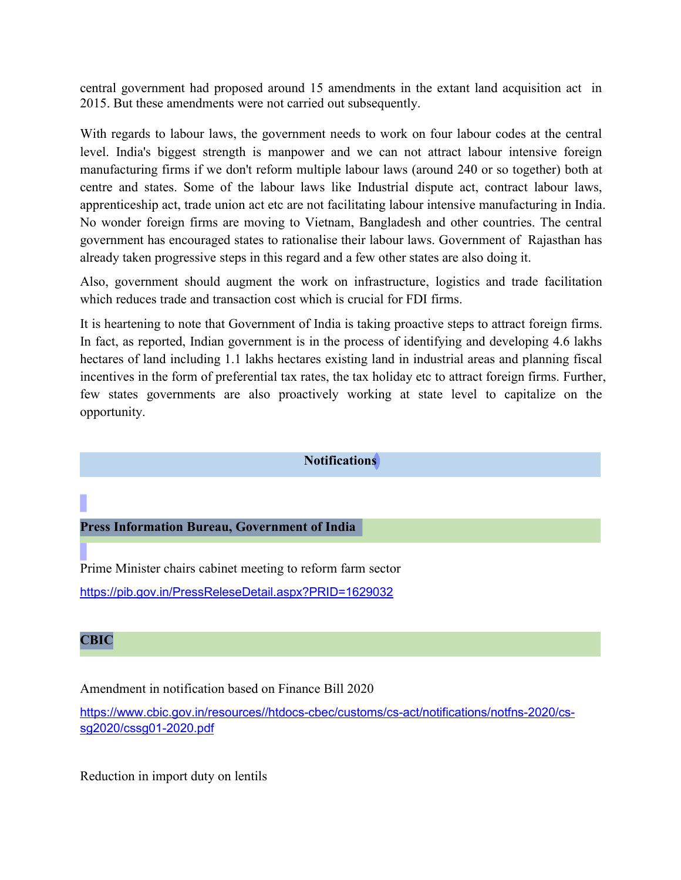central government had proposed around 15 amendments in the extant land acquisition act in 2015. But these amendments were not carried out subsequently.

With regards to labour laws, the government needs to work on four labour codes at the central level. India's biggest strength is manpower and we can not attract labour intensive foreign manufacturing firms if we don't reform multiple labour laws (around 240 or so together) both at centre and states. Some of the labour laws like Industrial dispute act, contract labour laws, apprenticeship act, trade union act etc are not facilitating labour intensive manufacturing in India. No wonder foreign firms are moving to Vietnam, Bangladesh and other countries. The central government has encouraged states to rationalise their labour laws. Government of Rajasthan has already taken progressive steps in this regard and a few other states are also doing it.

Also, government should augment the work on infrastructure, logistics and trade facilitation which reduces trade and transaction cost which is crucial for FDI firms.

It is heartening to note that Government of India is taking proactive steps to attract foreign firms. In fact, as reported, Indian government is in the process of identifying and developing 4.6 lakhs hectares of land including 1.1 lakhs hectares existing land in industrial areas and planning fiscal incentives in the form of preferential tax rates, the tax holiday etc to attract foreign firms. Further, few states governments are also proactively working at state level to capitalize on the opportunity.

#### **Notifications**

### **Press Information Bureau, Government of India**

Prime Minister chairs cabinet meeting to reform farm sector <https://pib.gov.in/PressReleseDetail.aspx?PRID=1629032>

#### **CBIC**

Amendment in notification based on Finance Bill 2020

[https://www.cbic.gov.in/resources//htdocs-cbec/customs/cs-act/notifications/notfns-2020/cs](https://www.cbic.gov.in/resources//htdocs-cbec/customs/cs-act/notifications/notfns-2020/cs-sg2020/cssg01-2020.pdf) sg2020/cssg01-2020.pdf

Reduction in import duty on lentils